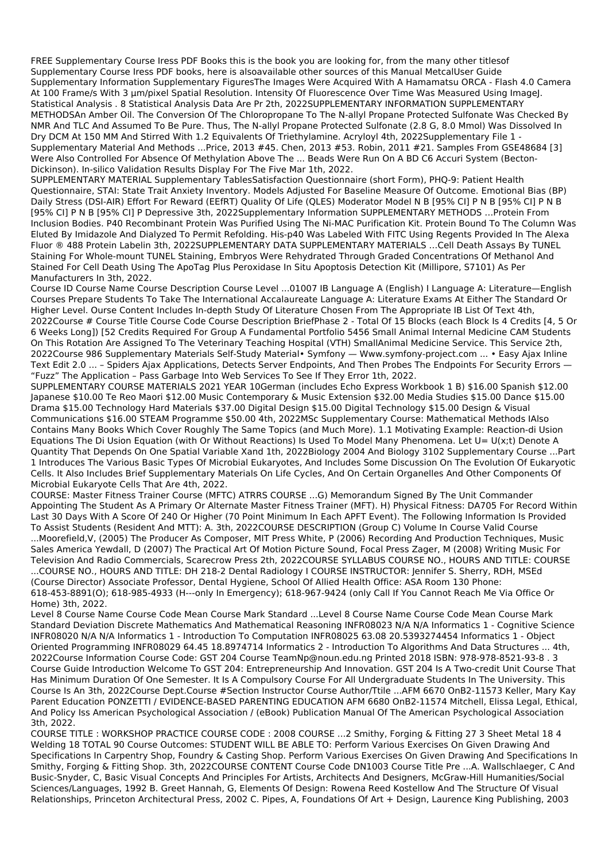FREE Supplementary Course Iress PDF Books this is the book you are looking for, from the many other titlesof Supplementary Course Iress PDF books, here is alsoavailable other sources of this Manual MetcalUser Guide Supplementary Information Supplementary FiguresThe Images Were Acquired With A Hamamatsu ORCA - Flash 4.0 Camera At 100 Frame/s With 3 µm/pixel Spatial Resolution. Intensity Of Fluorescence Over Time Was Measured Using ImageJ. Statistical Analysis . 8 Statistical Analysis Data Are Pr 2th, 2022SUPPLEMENTARY INFORMATION SUPPLEMENTARY METHODSAn Amber Oil. The Conversion Of The Chloropropane To The N-allyl Propane Protected Sulfonate Was Checked By NMR And TLC And Assumed To Be Pure. Thus, The N-allyl Propane Protected Sulfonate (2.8 G, 8.0 Mmol) Was Dissolved In Dry DCM At 150 MM And Stirred With 1.2 Equivalents Of Triethylamine. Acryloyl 4th, 2022Supplementary File 1 - Supplementary Material And Methods ...Price, 2013 #45. Chen, 2013 #53. Robin, 2011 #21. Samples From GSE48684 [3] Were Also Controlled For Absence Of Methylation Above The ... Beads Were Run On A BD C6 Accuri System (Becton-Dickinson). In-silico Validation Results Display For The Five Mar 1th, 2022.

SUPPLEMENTARY MATERIAL Supplementary TablesSatisfaction Questionnaire (short Form), PHQ-9: Patient Health Questionnaire, STAI: State Trait Anxiety Inventory. Models Adjusted For Baseline Measure Of Outcome. Emotional Bias (BP) Daily Stress (DSI-AIR) Effort For Reward (EEfRT) Quality Of Life (QLES) Moderator Model N B [95% CI] P N B [95% CI] P N B [95% CI] P N B [95% CI] P Depressive 3th, 2022Supplementary Information SUPPLEMENTARY METHODS …Protein From Inclusion Bodies. P40 Recombinant Protein Was Purified Using The Ni-MAC Purification Kit. Protein Bound To The Column Was Eluted By Imidazole And Dialyzed To Permit Refolding. His-p40 Was Labeled With FITC Using Regents Provided In The Alexa Fluor ® 488 Protein Labelin 3th, 2022SUPPLEMENTARY DATA SUPPLEMENTARY MATERIALS …Cell Death Assays By TUNEL Staining For Whole-mount TUNEL Staining, Embryos Were Rehydrated Through Graded Concentrations Of Methanol And Stained For Cell Death Using The ApoTag Plus Peroxidase In Situ Apoptosis Detection Kit (Millipore, S7101) As Per Manufacturers In 3th, 2022.

Course ID Course Name Course Description Course Level ...01007 IB Language A (English) I Language A: Literature—English Courses Prepare Students To Take The International Accalaureate Language A: Literature Exams At Either The Standard Or Higher Level. Ourse Content Includes In-depth Study Of Literature Chosen From The Appropriate IB List Of Text 4th, 2022Course # Course Title Course Code Course Description BriefPhase 2 - Total Of 15 Blocks (each Block Is 4 Credits [4, 5 Or 6 Weeks Long]) [52 Credits Required For Group A Fundamental Portfolio 5456 Small Animal Internal Medicine CAM Students On This Rotation Are Assigned To The Veterinary Teaching Hospital (VTH) SmallAnimal Medicine Service. This Service 2th, 2022Course 986 Supplementary Materials Self-Study Material• Symfony — Www.symfony-project.com ... • Easy Ajax Inline Text Edit 2.0 ... – Spiders Ajax Applications, Detects Server Endpoints, And Then Probes The Endpoints For Security Errors — "Fuzz" The Application – Pass Garbage Into Web Services To See If They Error 1th, 2022.

SUPPLEMENTARY COURSE MATERIALS 2021 YEAR 10German (includes Echo Express Workbook 1 B) \$16.00 Spanish \$12.00 Japanese \$10.00 Te Reo Maori \$12.00 Music Contemporary & Music Extension \$32.00 Media Studies \$15.00 Dance \$15.00 Drama \$15.00 Technology Hard Materials \$37.00 Digital Design \$15.00 Digital Technology \$15.00 Design & Visual Communications \$16.00 STEAM Programme \$50.00 4th, 2022MSc Supplementary Course: Mathematical Methods IAlso Contains Many Books Which Cover Roughly The Same Topics (and Much More). 1.1 Motivating Example: Reaction-di Usion Equations The Di Usion Equation (with Or Without Reactions) Is Used To Model Many Phenomena. Let U= U(x;t) Denote A Quantity That Depends On One Spatial Variable Xand 1th, 2022Biology 2004 And Biology 3102 Supplementary Course ...Part 1 Introduces The Various Basic Types Of Microbial Eukaryotes, And Includes Some Discussion On The Evolution Of Eukaryotic Cells. It Also Includes Brief Supplementary Materials On Life Cycles, And On Certain Organelles And Other Components Of Microbial Eukaryote Cells That Are 4th, 2022.

COURSE: Master Fitness Trainer Course (MFTC) ATRRS COURSE ...G) Memorandum Signed By The Unit Commander Appointing The Student As A Primary Or Alternate Master Fitness Trainer (MFT). H) Physical Fitness: DA705 For Record Within Last 30 Days With A Score Of 240 Or Higher (70 Point Minimum In Each APFT Event). The Following Information Is Provided To Assist Students (Resident And MTT): A. 3th, 2022COURSE DESCRIPTION (Group C) Volume In Course Valid Course ...Moorefield,V, (2005) The Producer As Composer, MIT Press White, P (2006) Recording And Production Techniques, Music Sales America Yewdall, D (2007) The Practical Art Of Motion Picture Sound, Focal Press Zager, M (2008) Writing Music For Television And Radio Commercials, Scarecrow Press 2th, 2022COURSE SYLLABUS COURSE NO., HOURS AND TITLE: COURSE ...COURSE NO., HOURS AND TITLE: DH 218-2 Dental Radiology I COURSE INSTRUCTOR: Jennifer S. Sherry, RDH, MSEd (Course Director) Associate Professor, Dental Hygiene, School Of Allied Health Office: ASA Room 130 Phone: 618-453-8891(O); 618-985-4933 (H---only In Emergency); 618-967-9424 (only Call If You Cannot Reach Me Via Office Or Home) 3th, 2022.

Level 8 Course Name Course Code Mean Course Mark Standard ...Level 8 Course Name Course Code Mean Course Mark Standard Deviation Discrete Mathematics And Mathematical Reasoning INFR08023 N/A N/A Informatics 1 - Cognitive Science INFR08020 N/A N/A Informatics 1 - Introduction To Computation INFR08025 63.08 20.5393274454 Informatics 1 - Object Oriented Programming INFR08029 64.45 18.8974714 Informatics 2 - Introduction To Algorithms And Data Structures ... 4th, 2022Course Information Course Code: GST 204 Course TeamNp@noun.edu.ng Printed 2018 ISBN: 978-978-8521-93-8 . 3 Course Guide Introduction Welcome To GST 204: Entrepreneurship And Innovation. GST 204 Is A Two-credit Unit Course That Has Minimum Duration Of One Semester. It Is A Compulsory Course For All Undergraduate Students In The University. This Course Is An 3th, 2022Course Dept.Course #Section Instructor Course Author/Ttile ...AFM 6670 OnB2-11573 Keller, Mary Kay Parent Education PONZETTI / EVIDENCE-BASED PARENTING EDUCATION AFM 6680 OnB2-11574 Mitchell, Elissa Legal, Ethical, And Policy Iss American Psychological Association / (eBook) Publication Manual Of The American Psychological Association 3th, 2022. COURSE TITLE : WORKSHOP PRACTICE COURSE CODE : 2008 COURSE ...2 Smithy, Forging & Fitting 27 3 Sheet Metal 18 4 Welding 18 TOTAL 90 Course Outcomes: STUDENT WILL BE ABLE TO: Perform Various Exercises On Given Drawing And Specifications In Carpentry Shop, Foundry & Casting Shop. Perform Various Exercises On Given Drawing And Specifications In Smithy, Forging & Fitting Shop. 3th, 2022COURSE CONTENT Course Code DN1003 Course Title Pre ...A. Wallschlaeger, C And Busic-Snyder, C, Basic Visual Concepts And Principles For Artists, Architects And Designers, McGraw-Hill Humanities/Social Sciences/Languages, 1992 B. Greet Hannah, G, Elements Of Design: Rowena Reed Kostellow And The Structure Of Visual Relationships, Princeton Architectural Press, 2002 C. Pipes, A, Foundations Of Art + Design, Laurence King Publishing, 2003